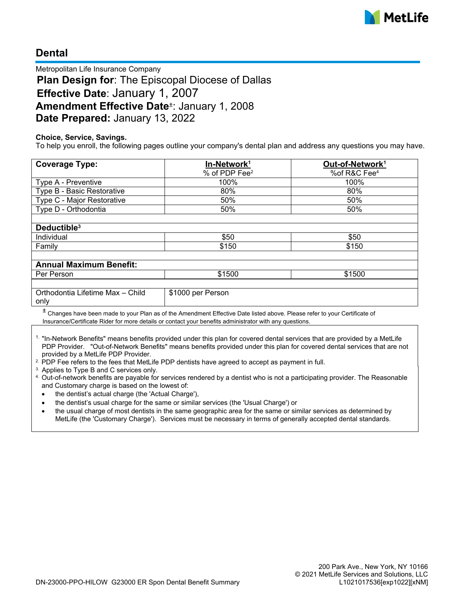

# **Dental**

Metropolitan Life Insurance Company **Plan Design for**: The Episcopal Diocese of Dallas **Effective Date**: January 1, 2007 **Amendment Effective Date**<sup>±</sup> : January 1, 2008 **Date Prepared:** January 13, 2022

### **Choice, Service, Savings.**

To help you enroll, the following pages outline your company's dental plan and address any questions you may have.

| <b>Coverage Type:</b>                    | In-Network <sup>1</sup>   | Out-of-Network <sup>1</sup> |
|------------------------------------------|---------------------------|-----------------------------|
|                                          | % of PDP Fee <sup>2</sup> | %of R&C Fee <sup>4</sup>    |
| Type A - Preventive                      | 100%                      | 100%                        |
| Type B - Basic Restorative               | 80%                       | 80%                         |
| Type C - Major Restorative               | 50%                       | 50%                         |
| Type D - Orthodontia                     | 50%                       | 50%                         |
|                                          |                           |                             |
| Deductible <sup>3</sup>                  |                           |                             |
| Individual                               | \$50                      | \$50                        |
| Family                                   | \$150                     | \$150                       |
|                                          |                           |                             |
| <b>Annual Maximum Benefit:</b>           |                           |                             |
| Per Person                               | \$1500                    | \$1500                      |
|                                          |                           |                             |
| Orthodontia Lifetime Max - Child<br>only | \$1000 per Person         |                             |

 $^{\pm}$  Changes have been made to your Plan as of the Amendment Effective Date listed above. Please refer to your Certificate of Insurance/Certificate Rider for more details or contact your benefits administrator with any questions.

<sup>1.</sup> "In-Network Benefits" means benefits provided under this plan for covered dental services that are provided by a MetLife PDP Provider. "Out-of-Network Benefits" means benefits provided under this plan for covered dental services that are not provided by a MetLife PDP Provider.

<sup>2.</sup> PDP Fee refers to the fees that MetLife PDP dentists have agreed to accept as payment in full.

<sup>3.</sup> Applies to Type B and C services only.

4. Out-of-network benefits are payable for services rendered by a dentist who is not a participating provider. The Reasonable and Customary charge is based on the lowest of:

- · the dentist's actual charge (the 'Actual Charge'),
- · the dentist's usual charge for the same or similar services (the 'Usual Charge') or
- · the usual charge of most dentists in the same geographic area for the same or similar services as determined by MetLife (the 'Customary Charge'). Services must be necessary in terms of generally accepted dental standards.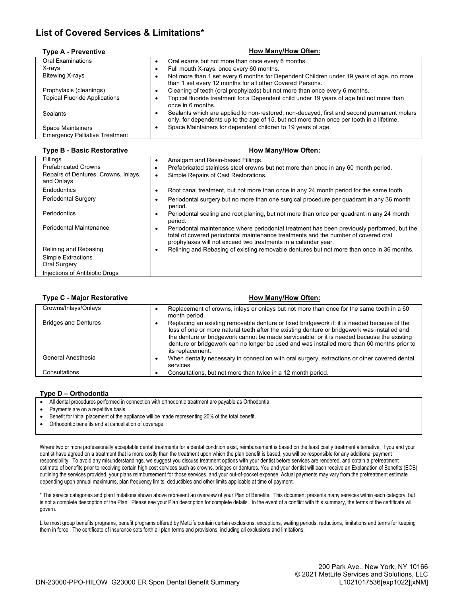## **List of Covered Services & Limitations\***

| <b>Type A - Preventive</b>            | How Many/How Often:                                                                                                                                                                          |
|---------------------------------------|----------------------------------------------------------------------------------------------------------------------------------------------------------------------------------------------|
| <b>Oral Examinations</b>              | Oral exams but not more than once every 6 months.                                                                                                                                            |
| X-rays                                | Full mouth X-rays: once every 60 months.<br>٠                                                                                                                                                |
| <b>Bitewing X-rays</b>                | Not more than 1 set every 6 months for Dependent Children under 19 years of age, no more<br>٠<br>than 1 set every 12 months for all other Covered Persons.                                   |
| Prophylaxis (cleanings)               | Cleaning of teeth (oral prophylaxis) but not more than once every 6 months.<br>٠                                                                                                             |
| <b>Topical Fluoride Applications</b>  | Topical fluoride treatment for a Dependent child under 19 years of age but not more than<br>٠<br>once in 6 months.                                                                           |
| <b>Sealants</b>                       | Sealants which are applied to non-restored, non-decayed, first and second permanent molars<br>٠<br>only, for dependents up to the age of 15, but not more than once per tooth in a lifetime. |
| Space Maintainers                     | Space Maintainers for dependent children to 19 years of age.<br>٠                                                                                                                            |
| <b>Emergency Palliative Treatment</b> |                                                                                                                                                                                              |

#### **Type B - Basic Restorative How Many/How Often:**

| Fillings                                           | Amalgam and Resin-based Fillings.<br>٠                                                                                                                                                                                                                          |
|----------------------------------------------------|-----------------------------------------------------------------------------------------------------------------------------------------------------------------------------------------------------------------------------------------------------------------|
| <b>Prefabricated Crowns</b>                        | Prefabricated stainless steel crowns but not more than once in any 60 month period.<br>٠                                                                                                                                                                        |
| Repairs of Dentures, Crowns, Inlays,<br>and Onlays | Simple Repairs of Cast Restorations.<br>$\bullet$                                                                                                                                                                                                               |
| Endodontics                                        | Root canal treatment, but not more than once in any 24 month period for the same tooth.<br>٠                                                                                                                                                                    |
| Periodontal Surgery                                | Periodontal surgery but no more than one surgical procedure per guadrant in any 36 month<br>$\bullet$<br>period.                                                                                                                                                |
| Periodontics                                       | Periodontal scaling and root planing, but not more than once per quadrant in any 24 month<br>$\bullet$<br>period.                                                                                                                                               |
| Periodontal Maintenance                            | Periodontal maintenance where periodontal treatment has been previously performed, but the<br>$\bullet$<br>total of covered periodontal maintenance treatments and the number of covered oral<br>prophylaxes will not exceed two treatments in a calendar year. |
| Relining and Rebasing                              | Relining and Rebasing of existing removable dentures but not more than once in 36 months.<br>٠                                                                                                                                                                  |
| Simple Extractions                                 |                                                                                                                                                                                                                                                                 |
| Oral Surgery                                       |                                                                                                                                                                                                                                                                 |
| Injections of Antibiotic Drugs                     |                                                                                                                                                                                                                                                                 |

| <b>Type C - Major Restorative</b> | <b>How Many/How Often:</b>                                                                                                                                                                                                                                                                                                                                                                                  |
|-----------------------------------|-------------------------------------------------------------------------------------------------------------------------------------------------------------------------------------------------------------------------------------------------------------------------------------------------------------------------------------------------------------------------------------------------------------|
| Crowns/Inlays/Onlays              | Replacement of crowns, inlays or onlays but not more than once for the same tooth in a 60<br>month period.                                                                                                                                                                                                                                                                                                  |
| <b>Bridges and Dentures</b>       | Replacing an existing removable denture or fixed bridgework if: it is needed because of the<br>loss of one or more natural teeth after the existing denture or bridgework was installed and<br>the denture or bridgework cannot be made serviceable; or it is needed because the existing<br>denture or bridgework can no longer be used and was installed more than 60 months prior to<br>its replacement. |
| General Anesthesia                | When dentally necessary in connection with oral surgery, extractions or other covered dental<br>$\bullet$<br>services.                                                                                                                                                                                                                                                                                      |
| Consultations                     | Consultations, but not more than twice in a 12 month period.                                                                                                                                                                                                                                                                                                                                                |

#### **Type D – Orthodontia**

- All dental procedures performed in connection with orthodontic treatment are payable as Orthodontia.
- Payments are on a repetitive basis.
- Benefit for initial placement of the appliance will be made representing 20% of the total benefit.
- · Orthodontic benefits end at cancellation of coverage

Where two or more professionally acceptable dental treatments for a dental condition exist, reimbursement is based on the least costly treatment alternative. If you and your dentist have agreed on a treatment that is more costly than the treatment upon which the plan benefit is based, you will be responsible for any additional payment responsibility. To avoid any misunderstandings, we suggest you discuss treatment options with your dentist before services are rendered, and obtain a pretreatment estimate of benefits prior to receiving certain high cost services such as crowns, bridges or dentures. You and your dentist will each receive an Explanation of Benefits (EOB) outlining the services provided, your plans reimbursement for those services, and your out-of-pocket expense. Actual payments may vary from the pretreatment estimate depending upon annual maximums, plan frequency limits, deductibles and other limits applicable at time of payment.

\* The service categories and plan limitations shown above represent an overview of your Plan of Benefits. This document presents many services within each category, but is not a complete description of the Plan. Please see your Plan description for complete details. In the event of a conflict with this summary, the terms of the certificate will govern.

Like most group benefits programs, benefit programs offered by MetLife contain certain exclusions, exceptions, waiting periods, reductions, limitations and terms for keeping them in force. The certificate of insurance sets forth all plan terms and provisions, including all exclusions and limitations.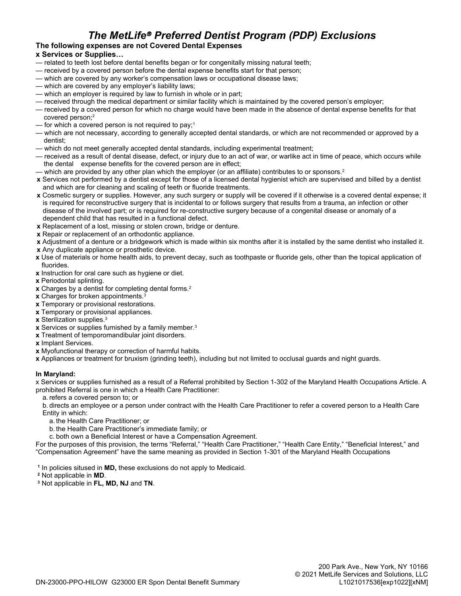# *The MetLife*â *Preferred Dentist Program (PDP) Exclusions*

### **The following expenses are not Covered Dental Expenses**

#### **x Services or Supplies…**

- related to teeth lost before dental benefits began or for congenitally missing natural teeth;
- received by a covered person before the dental expense benefits start for that person;
- which are covered by any worker's compensation laws or occupational disease laws;
- which are covered by any employer's liability laws;
- which an employer is required by law to furnish in whole or in part;
- received through the medical department or similar facility which is maintained by the covered person's employer;
- received by a covered person for which no charge would have been made in the absence of dental expense benefits for that covered person;<sup>2</sup>
- $-$  for which a covered person is not required to pay;<sup>1</sup>
- which are not necessary, according to generally accepted dental standards, or which are not recommended or approved by a dentist;
- which do not meet generally accepted dental standards, including experimental treatment;
- received as a result of dental disease, defect, or injury due to an act of war, or warlike act in time of peace, which occurs while the dental expense benefits for the covered person are in effect;
- which are provided by any other plan which the employer (or an affiliate) contributes to or sponsors.<sup>2</sup>
- **x** Services not performed by a dentist except for those of a licensed dental hygienist which are supervised and billed by a dentist and which are for cleaning and scaling of teeth or fluoride treatments.
- **x** Cosmetic surgery or supplies. However, any such surgery or supply will be covered if it otherwise is a covered dental expense; it is required for reconstructive surgery that is incidental to or follows surgery that results from a trauma, an infection or other disease of the involved part; or is required for re-constructive surgery because of a congenital disease or anomaly of a dependent child that has resulted in a functional defect.
- **x** Replacement of a lost, missing or stolen crown, bridge or denture.
- **x** Repair or replacement of an orthodontic appliance.
- **x** Adjustment of a denture or a bridgework which is made within six months after it is installed by the same dentist who installed it.
- **x** Any duplicate appliance or prosthetic device.
- **x** Use of materials or home health aids, to prevent decay, such as toothpaste or fluoride gels, other than the topical application of fluorides.
- **x** Instruction for oral care such as hygiene or diet.
- **x** Periodontal splinting.
- **x** Charges by a dentist for completing dental forms.<sup>2</sup>
- **x** Charges for broken appointments.<sup>3</sup>
- **x** Temporary or provisional restorations.
- **x** Temporary or provisional appliances.
- **x** Sterilization supplies.<sup>3</sup>
- **x** Services or supplies furnished by a family member.<sup>3</sup>
- **x** Treatment of temporomandibular joint disorders.
- **x** Implant Services.
- **x** Myofunctional therapy or correction of harmful habits.
- **x** Appliances or treatment for bruxism (grinding teeth), including but not limited to occlusal guards and night guards.

#### **In Maryland:**

x Services or supplies furnished as a result of a Referral prohibited by Section 1-302 of the Maryland Health Occupations Article. A prohibited Referral is one in which a Health Care Practitioner:

a. refers a covered person to; or

b. directs an employee or a person under contract with the Health Care Practitioner to refer a covered person to a Health Care Entity in which:

- a. the Health Care Practitioner; or
- b. the Health Care Practitioner's immediate family; or

c. both own a Beneficial Interest or have a Compensation Agreement.

For the purposes of this provision, the terms "Referral," "Health Care Practitioner," "Health Care Entity," "Beneficial Interest," and "Compensation Agreement" have the same meaning as provided in Section 1-301 of the Maryland Health Occupations

**1** In policies sitused in **MD,** these exclusions do not apply to Medicaid.

- **2** Not applicable in **MD**.
- **3** Not applicable in **FL, MD, NJ** and **TN**.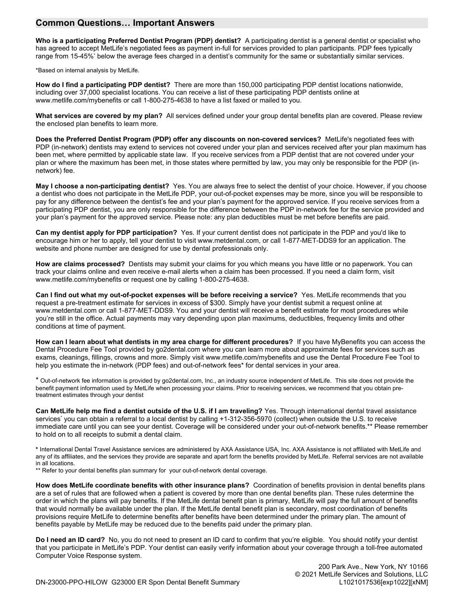### **Common Questions… Important Answers**

**Who is a participating Preferred Dentist Program (PDP) dentist?** A participating dentist is a general dentist or specialist who has agreed to accept MetLife's negotiated fees as payment in-full for services provided to plan participants. PDP fees typically range from 15-45%\* below the average fees charged in a dentist's community for the same or substantially similar services.

\*Based on internal analysis by MetLife.

**How do I find a participating PDP dentist?** There are more than 150,000 participating PDP dentist locations nationwide, including over 37,000 specialist locations. You can receive a list of these participating PDP dentists online at www.metlife.com/mybenefits or call 1-800-275-4638 to have a list faxed or mailed to you.

**What services are covered by my plan?** All services defined under your group dental benefits plan are covered. Please review the enclosed plan benefits to learn more.

**Does the Preferred Dentist Program (PDP) offer any discounts on non-covered services?** MetLife's negotiated fees with PDP (in-network) dentists may extend to services not covered under your plan and services received after your plan maximum has been met, where permitted by applicable state law. If you receive services from a PDP dentist that are not covered under your plan or where the maximum has been met, in those states where permitted by law, you may only be responsible for the PDP (innetwork) fee.

**May I choose a non-participating dentist?** Yes. You are always free to select the dentist of your choice. However, if you choose a dentist who does not participate in the MetLife PDP, your out-of-pocket expenses may be more, since you will be responsible to pay for any difference between the dentist's fee and your plan's payment for the approved service. If you receive services from a participating PDP dentist, you are only responsible for the difference between the PDP in-network fee for the service provided and your plan's payment for the approved service. Please note: any plan deductibles must be met before benefits are paid.

**Can my dentist apply for PDP participation?** Yes. If your current dentist does not participate in the PDP and you'd like to encourage him or her to apply, tell your dentist to visit www.metdental.com, or call 1-877-MET-DDS9 for an application. The website and phone number are designed for use by dental professionals only.

**How are claims processed?** Dentists may submit your claims for you which means you have little or no paperwork. You can track your claims online and even receive e-mail alerts when a claim has been processed. If you need a claim form, visit www.metlife.com/mybenefits or request one by calling 1-800-275-4638.

**Can I find out what my out-of-pocket expenses will be before receiving a service?** Yes. MetLife recommends that you request a pre-treatment estimate for services in excess of \$300. Simply have your dentist submit a request online at www.metdental.com or call 1-877-MET-DDS9. You and your dentist will receive a benefit estimate for most procedures while you're still in the office. Actual payments may vary depending upon plan maximums, deductibles, frequency limits and other conditions at time of payment.

**How can I learn about what dentists in my area charge for different procedures?** If you have MyBenefits you can access the Dental Procedure Fee Tool provided by go2dental.com where you can learn more about approximate fees for services such as exams, cleanings, fillings, crowns and more. Simply visit www.metlife.com/mybenefits and use the Dental Procedure Fee Tool to help you estimate the in-network (PDP fees) and out-of-network fees\* for dental services in your area.

\* Out-of-network fee information is provided by go2dental.com, Inc., an industry source independent of MetLife. This site does not provide the benefit payment information used by MetLife when processing your claims. Prior to receiving services, we recommend that you obtain pretreatment estimates through your dentist

**Can MetLife help me find a dentist outside of the U.S. if I am traveling?** Yes. Through international dental travel assistance services' you can obtain a referral to a local dentist by calling +1-312-356-5970 (collect) when outside the U.S. to receive immediate care until you can see your dentist. Coverage will be considered under your out-of-network benefits.\*\* Please remember to hold on to all receipts to submit a dental claim.

**\*** International Dental Travel Assistance services are administered by AXA Assistance USA, Inc. AXA Assistance is not affiliated with MetLife and any of its affiliates, and the services they provide are separate and apart form the benefits provided by MetLife. Referral services are not available in all locations.

\*\* Refer to your dental benefits plan summary for your out-of-network dental coverage.

**How does MetLife coordinate benefits with other insurance plans?** Coordination of benefits provision in dental benefits plans are a set of rules that are followed when a patient is covered by more than one dental benefits plan. These rules determine the order in which the plans will pay benefits. If the MetLife dental benefit plan is primary, MetLife will pay the full amount of benefits that would normally be available under the plan. If the MetLife dental benefit plan is secondary, most coordination of benefits provisions require MetLife to determine benefits after benefits have been determined under the primary plan. The amount of benefits payable by MetLife may be reduced due to the benefits paid under the primary plan.

**Do I need an ID card?** No, you do not need to present an ID card to confirm that you're eligible. You should notify your dentist that you participate in MetLife's PDP. Your dentist can easily verify information about your coverage through a toll-free automated Computer Voice Response system.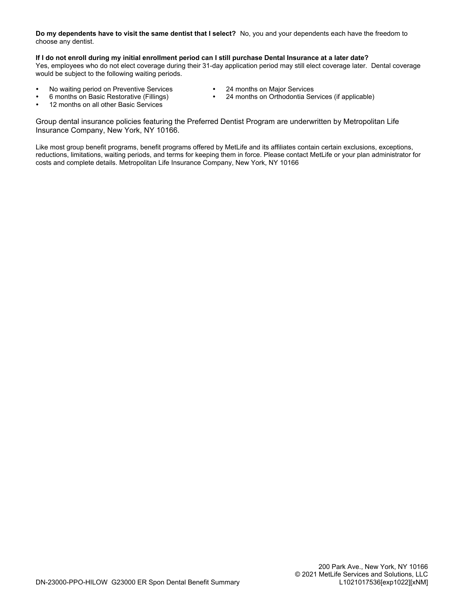**Do my dependents have to visit the same dentist that I select?** No, you and your dependents each have the freedom to choose any dentist.

#### **If I do not enroll during my initial enrollment period can I still purchase Dental Insurance at a later date?**

Yes, employees who do not elect coverage during their 31-day application period may still elect coverage later. Dental coverage would be subject to the following waiting periods.

- No waiting period on Preventive Services 24 months on Major Services<br>• 6 months on Basic Restorative (Fillings) 24 months on Orthodontia Se
- - $\bullet$  24 months on Orthodontia Services (if applicable)
- $\cdot$  12 months on all other Basic Services

Group dental insurance policies featuring the Preferred Dentist Program are underwritten by Metropolitan Life Insurance Company, New York, NY 10166.

Like most group benefit programs, benefit programs offered by MetLife and its affiliates contain certain exclusions, exceptions, reductions, limitations, waiting periods, and terms for keeping them in force. Please contact MetLife or your plan administrator for costs and complete details. Metropolitan Life Insurance Company, New York, NY 10166